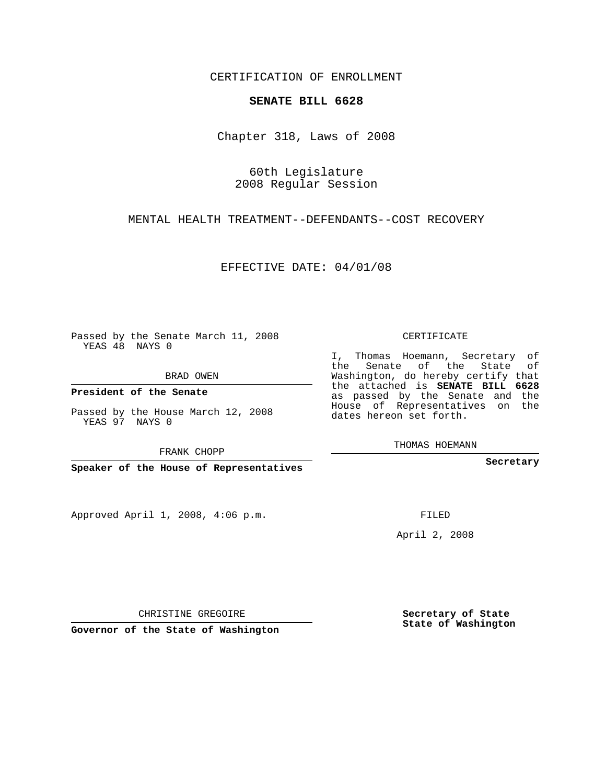CERTIFICATION OF ENROLLMENT

## **SENATE BILL 6628**

Chapter 318, Laws of 2008

60th Legislature 2008 Regular Session

MENTAL HEALTH TREATMENT--DEFENDANTS--COST RECOVERY

EFFECTIVE DATE: 04/01/08

Passed by the Senate March 11, 2008 YEAS 48 NAYS 0

BRAD OWEN

**President of the Senate**

Passed by the House March 12, 2008 YEAS 97 NAYS 0

FRANK CHOPP

**Speaker of the House of Representatives**

Approved April 1, 2008, 4:06 p.m.

CERTIFICATE

I, Thomas Hoemann, Secretary of the Senate of the State of Washington, do hereby certify that the attached is **SENATE BILL 6628** as passed by the Senate and the House of Representatives on the dates hereon set forth.

THOMAS HOEMANN

**Secretary**

FILED

April 2, 2008

**Secretary of State State of Washington**

CHRISTINE GREGOIRE

**Governor of the State of Washington**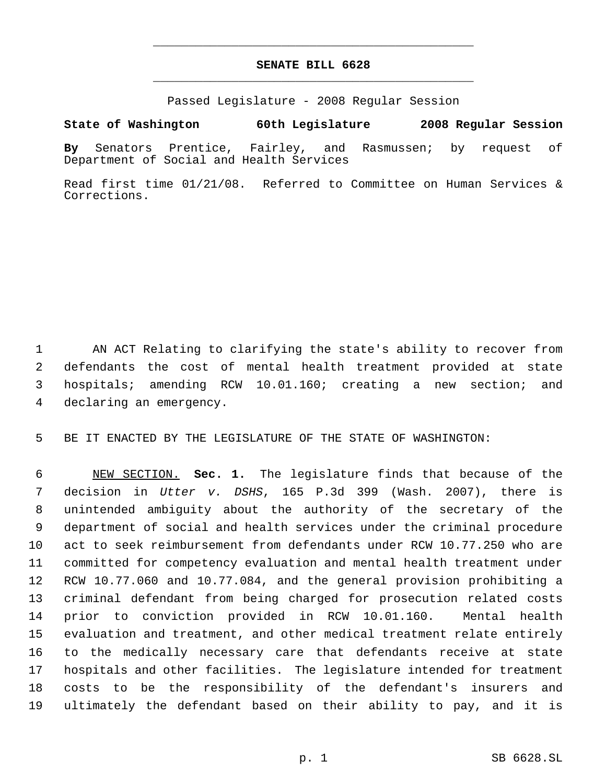## **SENATE BILL 6628** \_\_\_\_\_\_\_\_\_\_\_\_\_\_\_\_\_\_\_\_\_\_\_\_\_\_\_\_\_\_\_\_\_\_\_\_\_\_\_\_\_\_\_\_\_

\_\_\_\_\_\_\_\_\_\_\_\_\_\_\_\_\_\_\_\_\_\_\_\_\_\_\_\_\_\_\_\_\_\_\_\_\_\_\_\_\_\_\_\_\_

Passed Legislature - 2008 Regular Session

**State of Washington 60th Legislature 2008 Regular Session**

**By** Senators Prentice, Fairley, and Rasmussen; by request of Department of Social and Health Services

Read first time 01/21/08. Referred to Committee on Human Services & Corrections.

 AN ACT Relating to clarifying the state's ability to recover from defendants the cost of mental health treatment provided at state hospitals; amending RCW 10.01.160; creating a new section; and declaring an emergency.

BE IT ENACTED BY THE LEGISLATURE OF THE STATE OF WASHINGTON:

 NEW SECTION. **Sec. 1.** The legislature finds that because of the decision in *Utter v. DSHS*, 165 P.3d 399 (Wash. 2007), there is unintended ambiguity about the authority of the secretary of the department of social and health services under the criminal procedure act to seek reimbursement from defendants under RCW 10.77.250 who are committed for competency evaluation and mental health treatment under RCW 10.77.060 and 10.77.084, and the general provision prohibiting a criminal defendant from being charged for prosecution related costs prior to conviction provided in RCW 10.01.160. Mental health evaluation and treatment, and other medical treatment relate entirely to the medically necessary care that defendants receive at state hospitals and other facilities. The legislature intended for treatment costs to be the responsibility of the defendant's insurers and ultimately the defendant based on their ability to pay, and it is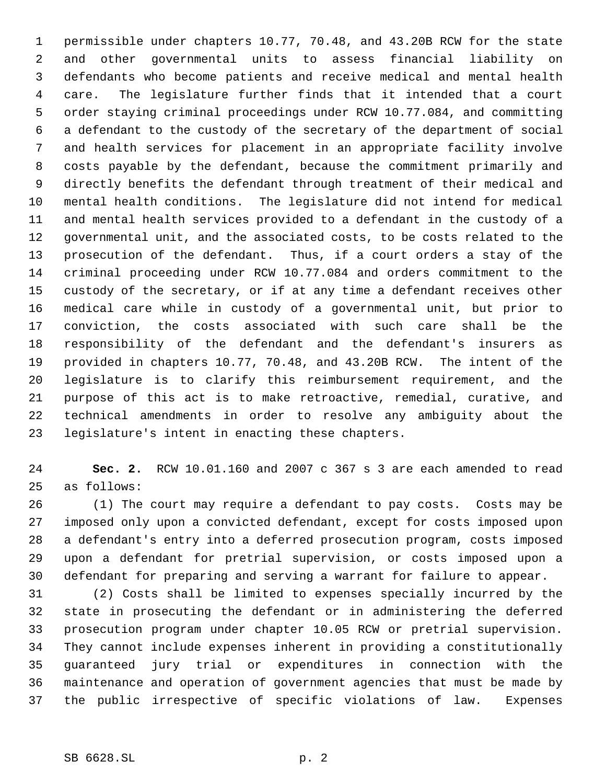permissible under chapters 10.77, 70.48, and 43.20B RCW for the state and other governmental units to assess financial liability on defendants who become patients and receive medical and mental health care. The legislature further finds that it intended that a court order staying criminal proceedings under RCW 10.77.084, and committing a defendant to the custody of the secretary of the department of social and health services for placement in an appropriate facility involve costs payable by the defendant, because the commitment primarily and directly benefits the defendant through treatment of their medical and mental health conditions. The legislature did not intend for medical and mental health services provided to a defendant in the custody of a governmental unit, and the associated costs, to be costs related to the prosecution of the defendant. Thus, if a court orders a stay of the criminal proceeding under RCW 10.77.084 and orders commitment to the custody of the secretary, or if at any time a defendant receives other medical care while in custody of a governmental unit, but prior to conviction, the costs associated with such care shall be the responsibility of the defendant and the defendant's insurers as provided in chapters 10.77, 70.48, and 43.20B RCW. The intent of the legislature is to clarify this reimbursement requirement, and the purpose of this act is to make retroactive, remedial, curative, and technical amendments in order to resolve any ambiguity about the legislature's intent in enacting these chapters.

 **Sec. 2.** RCW 10.01.160 and 2007 c 367 s 3 are each amended to read as follows:

 (1) The court may require a defendant to pay costs. Costs may be imposed only upon a convicted defendant, except for costs imposed upon a defendant's entry into a deferred prosecution program, costs imposed upon a defendant for pretrial supervision, or costs imposed upon a defendant for preparing and serving a warrant for failure to appear.

 (2) Costs shall be limited to expenses specially incurred by the state in prosecuting the defendant or in administering the deferred prosecution program under chapter 10.05 RCW or pretrial supervision. They cannot include expenses inherent in providing a constitutionally guaranteed jury trial or expenditures in connection with the maintenance and operation of government agencies that must be made by the public irrespective of specific violations of law. Expenses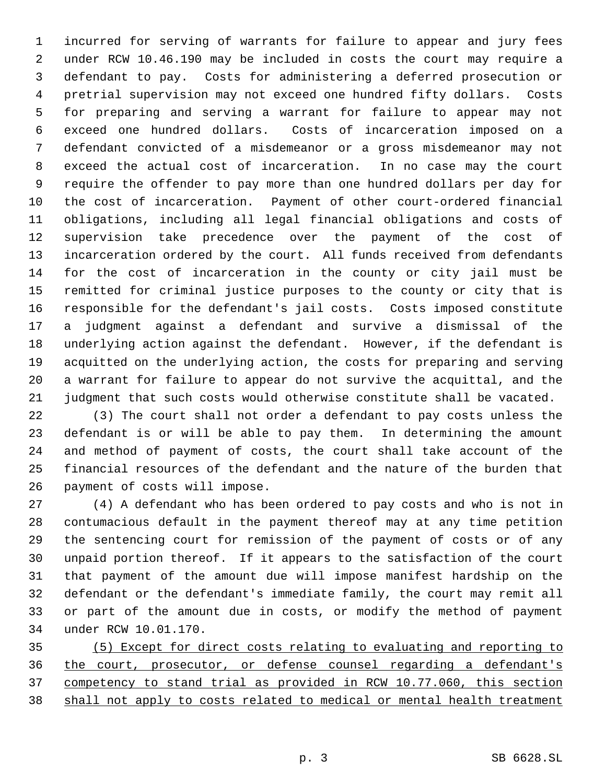incurred for serving of warrants for failure to appear and jury fees under RCW 10.46.190 may be included in costs the court may require a defendant to pay. Costs for administering a deferred prosecution or pretrial supervision may not exceed one hundred fifty dollars. Costs for preparing and serving a warrant for failure to appear may not exceed one hundred dollars. Costs of incarceration imposed on a defendant convicted of a misdemeanor or a gross misdemeanor may not exceed the actual cost of incarceration. In no case may the court require the offender to pay more than one hundred dollars per day for the cost of incarceration. Payment of other court-ordered financial obligations, including all legal financial obligations and costs of supervision take precedence over the payment of the cost of incarceration ordered by the court. All funds received from defendants for the cost of incarceration in the county or city jail must be remitted for criminal justice purposes to the county or city that is responsible for the defendant's jail costs. Costs imposed constitute a judgment against a defendant and survive a dismissal of the underlying action against the defendant. However, if the defendant is acquitted on the underlying action, the costs for preparing and serving a warrant for failure to appear do not survive the acquittal, and the judgment that such costs would otherwise constitute shall be vacated.

 (3) The court shall not order a defendant to pay costs unless the defendant is or will be able to pay them. In determining the amount and method of payment of costs, the court shall take account of the financial resources of the defendant and the nature of the burden that payment of costs will impose.

 (4) A defendant who has been ordered to pay costs and who is not in contumacious default in the payment thereof may at any time petition the sentencing court for remission of the payment of costs or of any unpaid portion thereof. If it appears to the satisfaction of the court that payment of the amount due will impose manifest hardship on the defendant or the defendant's immediate family, the court may remit all or part of the amount due in costs, or modify the method of payment under RCW 10.01.170.

 (5) Except for direct costs relating to evaluating and reporting to the court, prosecutor, or defense counsel regarding a defendant's competency to stand trial as provided in RCW 10.77.060, this section shall not apply to costs related to medical or mental health treatment